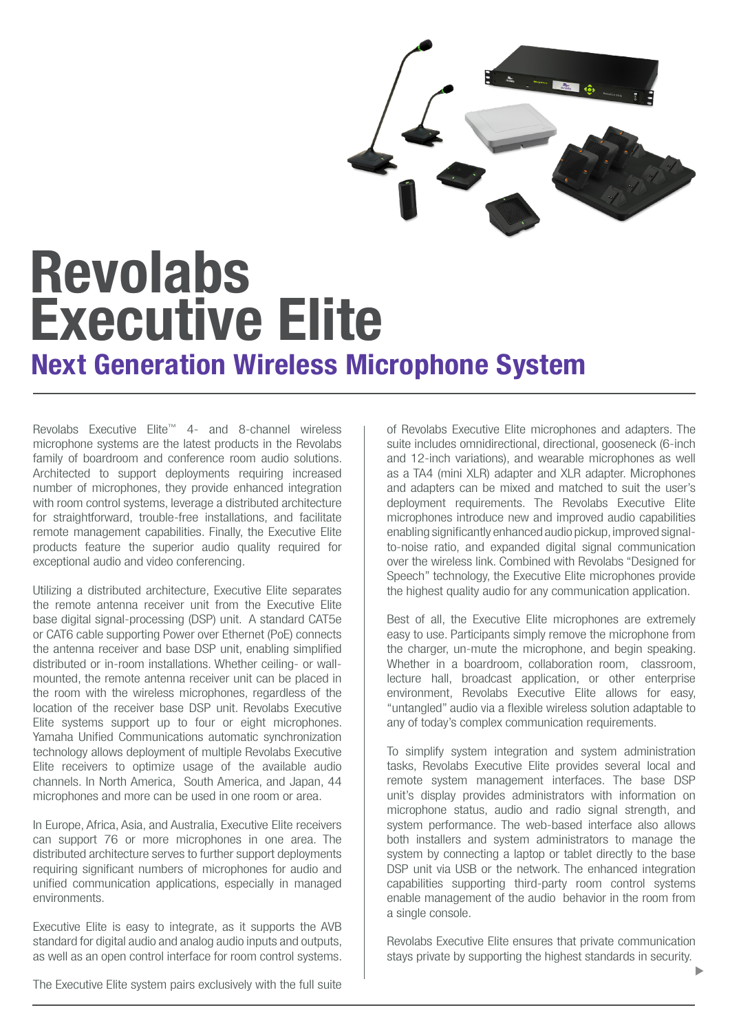

# Executive Elite Next Generation Wireless Microphone System Revolabs

Revolabs Executive Elite™ 4- and 8-channel wireless microphone systems are the latest products in the Revolabs family of boardroom and conference room audio solutions. Architected to support deployments requiring increased number of microphones, they provide enhanced integration with room control systems, leverage a distributed architecture for straightforward, trouble-free installations, and facilitate remote management capabilities. Finally, the Executive Elite products feature the superior audio quality required for exceptional audio and video conferencing.

Utilizing a distributed architecture, Executive Elite separates the remote antenna receiver unit from the Executive Elite base digital signal-processing (DSP) unit. A standard CAT5e or CAT6 cable supporting Power over Ethernet (PoE) connects the antenna receiver and base DSP unit, enabling simplified distributed or in-room installations. Whether ceiling- or wallmounted, the remote antenna receiver unit can be placed in the room with the wireless microphones, regardless of the location of the receiver base DSP unit. Revolabs Executive Elite systems support up to four or eight microphones. Yamaha Unified Communications automatic synchronization technology allows deployment of multiple Revolabs Executive Elite receivers to optimize usage of the available audio channels. In North America, South America, and Japan, 44 microphones and more can be used in one room or area.

In Europe, Africa, Asia, and Australia, Executive Elite receivers can support 76 or more microphones in one area. The distributed architecture serves to further support deployments requiring significant numbers of microphones for audio and unified communication applications, especially in managed environments.

Executive Elite is easy to integrate, as it supports the AVB standard for digital audio and analog audio inputs and outputs, as well as an open control interface for room control systems.

of Revolabs Executive Elite microphones and adapters. The suite includes omnidirectional, directional, gooseneck (6-inch and 12-inch variations), and wearable microphones as well as a TA4 (mini XLR) adapter and XLR adapter. Microphones and adapters can be mixed and matched to suit the user's deployment requirements. The Revolabs Executive Elite microphones introduce new and improved audio capabilities enabling significantly enhanced audio pickup, improved signalto-noise ratio, and expanded digital signal communication over the wireless link. Combined with Revolabs "Designed for Speech" technology, the Executive Elite microphones provide the highest quality audio for any communication application.

Best of all, the Executive Elite microphones are extremely easy to use. Participants simply remove the microphone from the charger, un-mute the microphone, and begin speaking. Whether in a boardroom, collaboration room, classroom, lecture hall, broadcast application, or other enterprise environment, Revolabs Executive Elite allows for easy, "untangled" audio via a flexible wireless solution adaptable to any of today's complex communication requirements.

To simplify system integration and system administration tasks, Revolabs Executive Elite provides several local and remote system management interfaces. The base DSP unit's display provides administrators with information on microphone status, audio and radio signal strength, and system performance. The web-based interface also allows both installers and system administrators to manage the system by connecting a laptop or tablet directly to the base DSP unit via USB or the network. The enhanced integration capabilities supporting third-party room control systems enable management of the audio behavior in the room from a single console.

Revolabs Executive Elite ensures that private communication stays private by supporting the highest standards in security.

The Executive Elite system pairs exclusively with the full suite